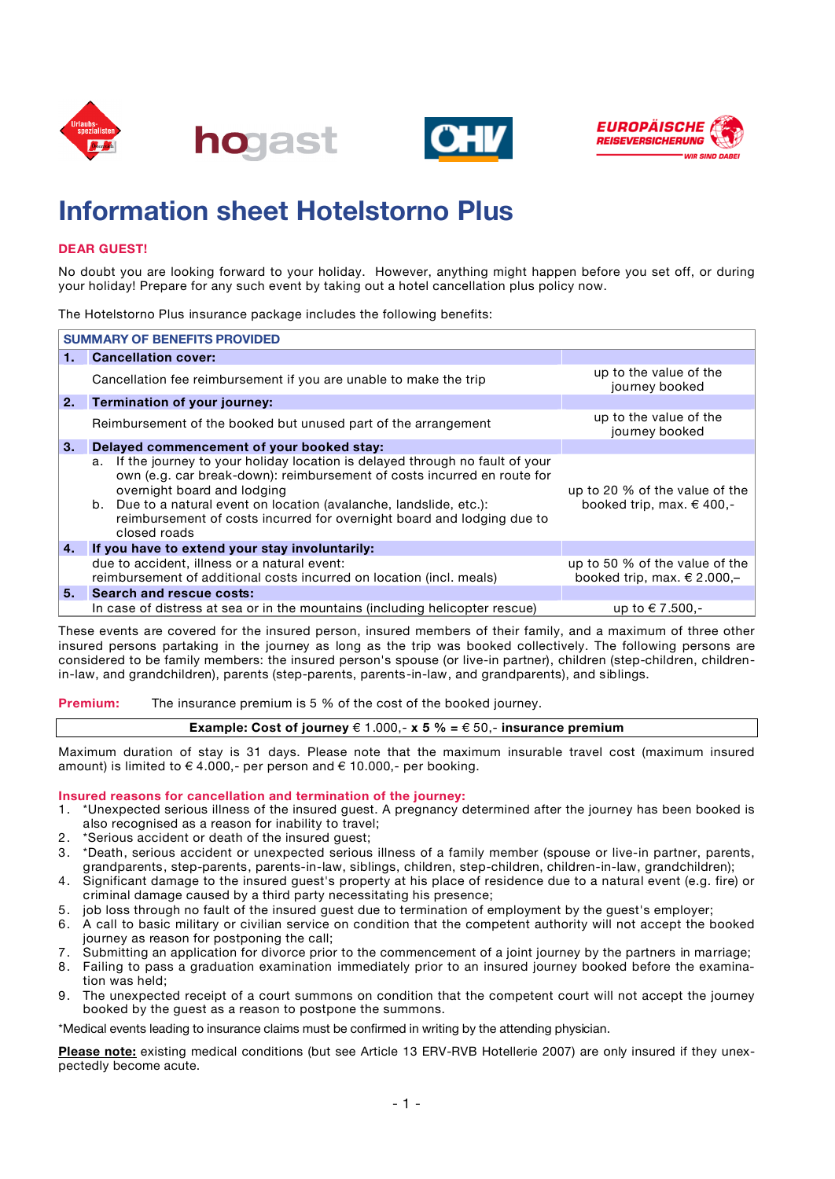







# **Information sheet Hotelstorno Plus**

## **DEAR GUEST!**

No doubt you are looking forward to your holiday. However, anything might happen before you set off, or during your holiday! Prepare for any such event by taking out a hotel cancellation plus policy now.

The Hotelstorno Plus insurance package includes the following benefits:

| <b>SUMMARY OF BENEFITS PROVIDED</b> |                                                                                                                                                                                                                                                                                                                                                              |                                                                   |
|-------------------------------------|--------------------------------------------------------------------------------------------------------------------------------------------------------------------------------------------------------------------------------------------------------------------------------------------------------------------------------------------------------------|-------------------------------------------------------------------|
|                                     | <b>Cancellation cover:</b>                                                                                                                                                                                                                                                                                                                                   |                                                                   |
|                                     | Cancellation fee reimbursement if you are unable to make the trip                                                                                                                                                                                                                                                                                            | up to the value of the<br>journey booked                          |
| l 2.                                | Termination of your journey:                                                                                                                                                                                                                                                                                                                                 |                                                                   |
|                                     | Reimbursement of the booked but unused part of the arrangement                                                                                                                                                                                                                                                                                               | up to the value of the<br>journey booked                          |
| ΙЗ.                                 | Delayed commencement of your booked stay:                                                                                                                                                                                                                                                                                                                    |                                                                   |
|                                     | If the journey to your holiday location is delayed through no fault of your<br>a.<br>own (e.g. car break-down): reimbursement of costs incurred en route for<br>overnight board and lodging<br>b. Due to a natural event on location (avalanche, landslide, etc.):<br>reimbursement of costs incurred for overnight board and lodging due to<br>closed roads | up to 20 % of the value of the<br>booked trip, max. $\in$ 400,-   |
| <b>4.</b>                           | If you have to extend your stay involuntarily:                                                                                                                                                                                                                                                                                                               |                                                                   |
|                                     | due to accident, illness or a natural event:<br>reimbursement of additional costs incurred on location (incl. meals)                                                                                                                                                                                                                                         | up to 50 % of the value of the<br>booked trip, max. $\in$ 2.000,- |
| 5.                                  | <b>Search and rescue costs:</b>                                                                                                                                                                                                                                                                                                                              |                                                                   |
|                                     | In case of distress at sea or in the mountains (including helicopter rescue)                                                                                                                                                                                                                                                                                 | up to € 7.500,-                                                   |

These events are covered for the insured person, insured members of their family, and a maximum of three other insured persons partaking in the journey as long as the trip was booked collectively. The following persons are considered to be family members: the insured person's spouse (or live-in partner), children (step-children, childrenin-law, and grandchildren), parents (step-parents, parents-in-law, and grandparents), and siblings.

**Premium:** The insurance premium is 5 % of the cost of the booked journey.

### **Example: Cost of journey** € 1.000,-  $x$  **5** % = € 50,- insurance premium

Maximum duration of stay is 31 days. Please note that the maximum insurable travel cost (maximum insured amount) is limited to  $\in$  4.000,- per person and  $\in$  10.000,- per booking.

### **Insured reasons for cancellation and termination of the journey:**

- 1. \*Unexpected serious illness of the insured guest. A pregnancy determined after the journey has been booked is also recognised as a reason for inability to travel;
- 2. \*Serious accident or death of the insured guest;
- 3. \*Death, serious accident or unexpected serious illness of a family member (spouse or live-in partner, parents, grandparents, step-parents, parents-in-law, siblings, children, step-children, children-in-law, grandchildren);
- 4. Significant damage to the insured guest's property at his place of residence due to a natural event (e.g. fire) or criminal damage caused by a third party necessitating his presence;
- 5. job loss through no fault of the insured guest due to termination of employment by the guest's employer;
- 6. A call to basic military or civilian service on condition that the competent authority will not accept the booked journey as reason for postponing the call;
- 7. Submitting an application for divorce prior to the commencement of a joint journey by the partners in marriage;
- 8. Failing to pass a graduation examination immediately prior to an insured journey booked before the examination was held;
- 9. The unexpected receipt of a court summons on condition that the competent court will not accept the journey booked by the guest as a reason to postpone the summons.

\*Medical events leading to insurance claims must be confirmed in writing by the attending physician.

**Please note:** existing medical conditions (but see Article 13 ERV-RVB Hotellerie 2007) are only insured if they unexpectedly become acute.